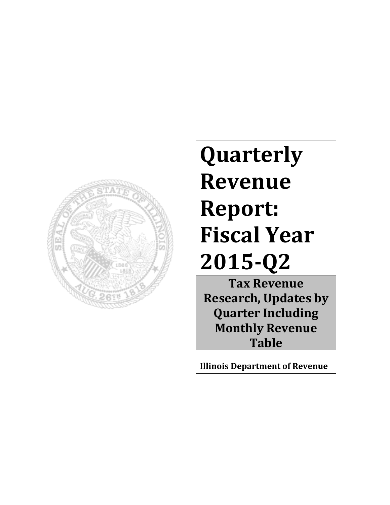

# **Quarterly Revenue Report: Fiscal Year 2015-Q2**

**Tax Revenue Research, Updates by Quarter Including Monthly Revenue Table**

**Illinois Department of Revenue**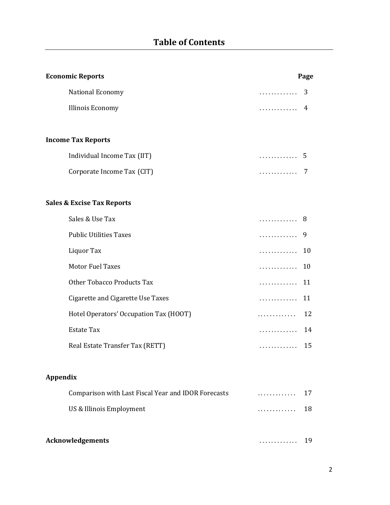| <b>Economic Reports</b>                             | Page                |
|-----------------------------------------------------|---------------------|
| National Economy                                    | 3<br>.              |
| Illinois Economy                                    | 4<br>.              |
|                                                     |                     |
| <b>Income Tax Reports</b>                           |                     |
| Individual Income Tax (IIT)                         | 5<br>. <sup>.</sup> |
| Corporate Income Tax (CIT)                          | 7<br>.              |
|                                                     |                     |
| <b>Sales &amp; Excise Tax Reports</b>               |                     |
| Sales & Use Tax                                     | 8<br>.              |
| <b>Public Utilities Taxes</b>                       | 9<br>.              |
| Liquor Tax                                          | 10<br>.             |
| <b>Motor Fuel Taxes</b>                             | 10<br>.             |
| <b>Other Tobacco Products Tax</b>                   | 11<br>.             |
| Cigarette and Cigarette Use Taxes                   | 11<br>.             |
| Hotel Operators' Occupation Tax (HOOT)              | 12<br>.             |
| <b>Estate Tax</b>                                   | 14<br>.             |
| Real Estate Transfer Tax (RETT)                     | 15<br>.             |
|                                                     |                     |
| Appendix                                            |                     |
| Comparison with Last Fiscal Year and IDOR Forecasts | 17<br>.             |
| US & Illinois Employment                            | 18<br>.             |
|                                                     |                     |
| <b>Acknowledgements</b>                             | 19<br>.             |
|                                                     |                     |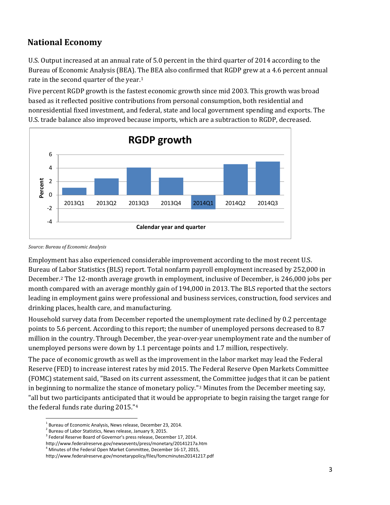### **National Economy**

U.S. Output increased at an annual rate of 5.0 percent in the third quarter of 2014 according to the Bureau of Economic Analysis (BEA). The BEA also confirmed that RGDP grew at a 4.6 percent annual rate in the second quarter of the year.<sup>[1](#page-2-0)</sup>

Five percent RGDP growth is the fastest economic growth since mid 2003. This growth was broad based as it reflected positive contributions from personal consumption, both residential and nonresidential fixed investment, and federal, state and local government spending and exports. The U.S. trade balance also improved because imports, which are a subtraction to RGDP, decreased.



*Source: Bureau of Economic Analysis*

Employment has also experienced considerable improvement according to the most recent U.S. Bureau of Labor Statistics (BLS) report. Total nonfarm payroll employment increased by 252,000 in December.[2](#page-2-1) The 12-month average growth in employment, inclusive of December, is 246,000 jobs per month compared with an average monthly gain of 194,000 in 2013. The BLS reported that the sectors leading in employment gains were professional and business services, construction, food services and drinking places, health care, and manufacturing.

Household survey data from December reported the unemployment rate declined by 0.2 percentage points to 5.6 percent. According to this report; the number of unemployed persons decreased to 8.7 million in the country. Through December, the year-over-year unemployment rate and the number of unemployed persons were down by 1.1 percentage points and 1.7 million, respectively.

The pace of economic growth as well as the improvement in the labor market may lead the Federal Reserve (FED) to increase interest rates by mid 2015. The Federal Reserve Open Markets Committee (FOMC) statement said, "Based on its current assessment[,](#page-2-2) the Committee judges that it can be patient in beginning to normalize the stance of monetary policy."3 Minutes from the December meeting say, "all but two participants anticipated that it would be appropriate to begin raising the target range for the federal funds rate during 2015."[4](#page-2-3)

<span id="page-2-1"></span><span id="page-2-0"></span>

<sup>&</sup>lt;sup>1</sup> Bureau of Economic Analysis, News release, December 23, 2014.<br><sup>2</sup> Bureau of Labor Statistics, News release, January 9, 2015.<br><sup>3</sup> Federal Reserve Board of Governor's press release, December 17, 2014.

<span id="page-2-3"></span><span id="page-2-2"></span>http://www.federalreserve.gov/newsevents/press/monetary/20141217a.htm

<sup>&</sup>lt;sup>4</sup> Minutes of the Federal Open Market Committee, December 16-17, 2015,

http://www.federalreserve.gov/monetarypolicy/files/fomcminutes20141217.pdf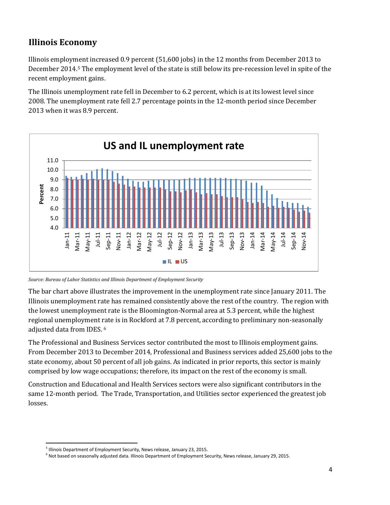## **Illinois Economy**

Illinois employment increased 0.9 percent (51,600 jobs) in the 12 months from December 2013 to December 2014.[5](#page-3-0) The employment level of the state is still below its pre-recession level in spite of the recent employment gains.

The Illinois unemployment rate fell in December to 6.2 percent, which is at its lowest level since 2008. The unemployment rate fell 2.7 percentage points in the 12-month period since December 2013 when it was 8.9 percent.



*Source: Bureau of Labor Statistics and Illinois Department of Employment Security*

The bar chart above illustrates the improvement in the unemployment rate since January 2011. The Illinois unemployment rate has remained consistently above the rest of the country. The region with the lowest unemployment rate is the Bloomington-Normal area at 5.3 percent, while the highest regional unemployment [ra](#page-3-1)te is in Rockford at 7.8 percent, according to preliminary non-seasonally adjusted data from IDES. <sup>6</sup>

The Professional and Business Services sector contributed the most to Illinois employment gains. From December 2013 to December 2014, Professional and Business services added 25,600 jobs to the state economy, about 50 percent of all job gains. As indicated in prior reports, this sector is mainly comprised by low wage occupations; therefore, its impact on the rest of the economy is small.

Construction and Educational and Health Services sectors were also significant contributors in the same 12-month period. The Trade, Transportation, and Utilities sector experienced the greatest job losses.

<span id="page-3-0"></span><sup>&</sup>lt;sup>5</sup> Illinois Department of Employment Security, News release, January 23, 2015.

<span id="page-3-1"></span> $^6$  Not based on seasonally adjusted data. Illinois Department of Employment Security, News release, January 29, 2015.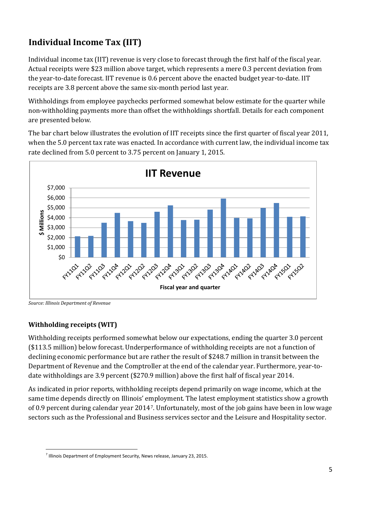# **Individual Income Tax (IIT)**

Individual income tax (IIT) revenue is very close to forecast through the first half of the fiscal year. Actual receipts were \$23 million above target, which represents a mere 0.3 percent deviation from the year-to-date forecast. IIT revenue is 0.6 percent above the enacted budget year-to-date. IIT receipts are 3.8 percent above the same six-month period last year.

Withholdings from employee paychecks performed somewhat below estimate for the quarter while non-withholding payments more than offset the withholdings shortfall. Details for each component are presented below.

The bar chart below illustrates the evolution of IIT receipts since the first quarter of fiscal year 2011, when the 5.0 percent tax rate was enacted. In accordance with current law, the individual income tax rate declined from 5.0 percent to 3.75 percent on January 1, 2015.



*Source: Illinois Department of Revenue*

#### **Withholding receipts (WIT)**

Withholding receipts performed somewhat below our expectations, ending the quarter 3.0 percent (\$113.5 million) below forecast. Underperformance of withholding receipts are not a function of declining economic performance but are rather the result of \$248.7 million in transit between the Department of Revenue and the Comptroller at the end of the calendar year. Furthermore, year-todate withholdings are 3.9 percent (\$270.9 million) above the first half of fiscal year 2014.

As indicated in prior reports, withholding receipts depend primarily on wage income, which at the same time depends directly on Illinois' employment. The latest employment statistics show a growth of 0.9 percent during calendar year 2014[7.](#page-4-0) Unfortunately, most of the job gains have been in low wage sectors such as the Professional and Business services sector and the Leisure and Hospitality sector.

<span id="page-4-0"></span> $<sup>7</sup>$  Illinois Department of Employment Security, News release, January 23, 2015.</sup>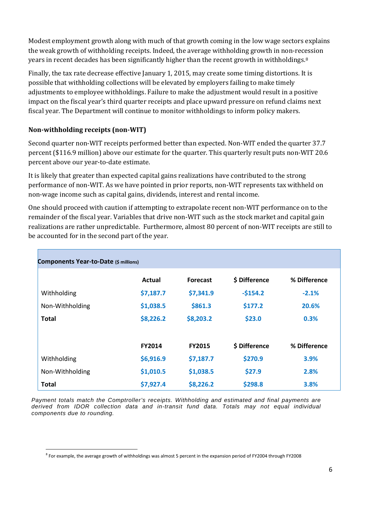Modest employment growth along with much of that growth coming in the low wage sectors explains the weak growth of withholding receipts. Indeed, the average withholding growth in non-recession years in recent decades has been significantly higher than the recent growth in withholdings.[8](#page-5-0)

Finally, the tax rate decrease effective January 1, 2015, may create some timing distortions. It is possible that withholding collections will be elevated by employers failing to make timely adjustments to employee withholdings. Failure to make the adjustment would result in a positive impact on the fiscal year's third quarter receipts and place upward pressure on refund claims next fiscal year. The Department will continue to monitor withholdings to inform policy makers.

#### **Non-withholding receipts (non-WIT)**

Second quarter non-WIT receipts performed better than expected. Non-WIT ended the quarter 37.7 percent (\$116.9 million) above our estimate for the quarter. This quarterly result puts non-WIT 20.6 percent above our year-to-date estimate.

It is likely that greater than expected capital gains realizations have contributed to the strong performance of non-WIT. As we have pointed in prior reports, non-WIT represents tax withheld on non-wage income such as capital gains, dividends, interest and rental income.

One should proceed with caution if attempting to extrapolate recent non-WIT performance on to the remainder of the fiscal year. Variables that drive non-WIT such as the stock market and capital gain realizations are rather unpredictable. Furthermore, almost 80 percent of non-WIT receipts are still to be accounted for in the second part of the year.

| Components Year-to-Date (\$ millions) |           |                 |               |              |
|---------------------------------------|-----------|-----------------|---------------|--------------|
|                                       | Actual    | <b>Forecast</b> | \$ Difference | % Difference |
| Withholding                           | \$7,187.7 | \$7,341.9       | $-5154.2$     | $-2.1%$      |
| Non-Withholding                       | \$1,038.5 | \$861.3         | \$177.2       | 20.6%        |
| <b>Total</b>                          | \$8,226.2 | \$8,203.2       | \$23.0        | 0.3%         |
|                                       | FY2014    | <b>FY2015</b>   | \$ Difference | % Difference |
| Withholding                           | \$6,916.9 | \$7,187.7       | \$270.9       | 3.9%         |
| Non-Withholding                       | \$1,010.5 | \$1,038.5       | \$27.9        | 2.8%         |
| <b>Total</b>                          | \$7,927.4 | \$8,226.2       | \$298.8       | 3.8%         |

*Payment totals match the Comptroller's receipts. Withholding and estimated and final payments are derived from IDOR collection data and in-transit fund data. Totals may not equal individual components due to rounding.*

<span id="page-5-0"></span><sup>&</sup>lt;sup>8</sup> For example, the average growth of withholdings was almost 5 percent in the expansion period of FY2004 through FY2008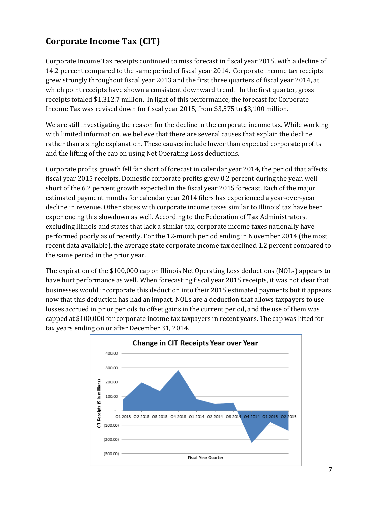# **Corporate Income Tax (CIT)**

Corporate Income Tax receipts continued to miss forecast in fiscal year 2015, with a decline of 14.2 percent compared to the same period of fiscal year 2014. Corporate income tax receipts grew strongly throughout fiscal year 2013 and the first three quarters of fiscal year 2014, at which point receipts have shown a consistent downward trend.In the first quarter, gross receipts totaled \$1,312.7 million. In light of this performance, the forecast for Corporate Income Tax was revised down for fiscal year 2015, from \$3,575 to \$3,100 million.

We are still investigating the reason for the decline in the corporate income tax. While working with limited information, we believe that there are several causes that explain the decline rather than a single explanation. These causes include lower than expected corporate profits and the lifting of the cap on using Net Operating Loss deductions.

Corporate profits growth fell far short of forecast in calendar year 2014, the period that affects fiscal year 2015 receipts. Domestic corporate profits grew 0.2 percent during the year, well short of the 6.2 percent growth expected in the fiscal year 2015 forecast. Each of the major estimated payment months for calendar year 2014 filers has experienced a year-over-year decline in revenue. Other states with corporate income taxes similar to Illinois' tax have been experiencing this slowdown as well. According to the Federation of Tax Administrators, excluding Illinois and states that lack a similar tax, corporate income taxes nationally have performed poorly as of recently. For the 12-month period ending in November 2014 (the most recent data available), the average state corporate income tax declined 1.2 percent compared to the same period in the prior year.

The expiration of the \$100,000 cap on Illinois Net Operating Loss deductions (NOLs) appears to have hurt performance as well. When forecasting fiscal year 2015 receipts, it was not clear that businesses would incorporate this deduction into their 2015 estimated payments but it appears now that this deduction has had an impact. NOLs are a deduction that allows taxpayers to use losses accrued in prior periods to offset gains in the current period, and the use of them was capped at \$100,000 for corporate income tax taxpayers in recent years. The cap was lifted for tax years ending on or after December 31, 2014.

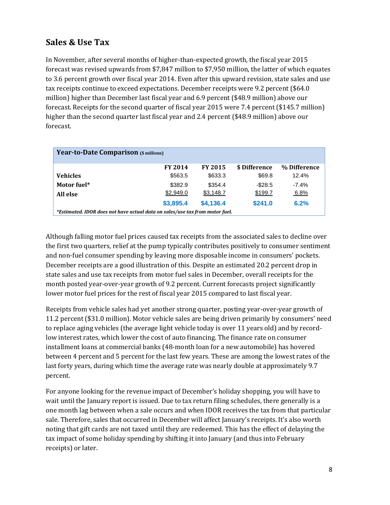## **Sales & Use Tax**

In November, after several months of higher-than-expected growth, the fiscal year 2015 forecast was revised upwards from \$7,847 million to \$7,950 million, the latter of which equates to 3.6 percent growth over fiscal year 2014. Even after this upward revision, state sales and use tax receipts continue to exceed expectations. December receipts were 9.2 percent (\$64.0 million) higher than December last fiscal year and 6.9 percent (\$48.9 million) above our forecast. Receipts for the second quarter of fiscal year 2015 were 7.4 percent (\$145.7 million) higher than the second quarter last fiscal year and 2.4 percent (\$48.9 million) above our forecast.

| Year-to-Date Comparison (\$ millions)                                        |                |                |               |              |
|------------------------------------------------------------------------------|----------------|----------------|---------------|--------------|
|                                                                              | <b>FY 2014</b> | <b>FY 2015</b> | \$ Difference | % Difference |
| <b>Vehicles</b>                                                              | \$563.5        | \$633.3        | \$69.8        | 12.4%        |
| Motor fuel*                                                                  | \$382.9        | \$354.4        | $-$ \$28.5    | $-7.4\%$     |
| All else                                                                     | \$2,949.0      | \$3,148.7      | \$199.7       | $6.8\%$      |
|                                                                              | \$3,895.4      | \$4,136.4      | \$241.0       | 6.2%         |
| *Estimated. IDOR does not have actual data on sales/use tax from motor fuel. |                |                |               |              |

Although falling motor fuel prices caused tax receipts from the associated sales to decline over the first two quarters, relief at the pump typically contributes positively to consumer sentiment and non-fuel consumer spending by leaving more disposable income in consumers' pockets. December receipts are a good illustration of this. Despite an estimated 20.2 percent drop in state sales and use tax receipts from motor fuel sales in December, overall receipts for the month posted year-over-year growth of 9.2 percent. Current forecasts project significantly lower motor fuel prices for the rest of fiscal year 2015 compared to last fiscal year.

Receipts from vehicle sales had yet another strong quarter, posting year-over-year growth of 11.2 percent (\$31.0 million). Motor vehicle sales are being driven primarily by consumers' need to replace aging vehicles (the average light vehicle today is over 11 years old) and by recordlow interest rates, which lower the cost of auto financing. The finance rate on consumer installment loans at commercial banks (48-month loan for a new automobile) has hovered between 4 percent and 5 percent for the last few years. These are among the lowest rates of the last forty years, during which time the average rate was nearly double at approximately 9.7 percent.

For anyone looking for the revenue impact of December's holiday shopping, you will have to wait until the January report is issued. Due to tax return filing schedules, there generally is a one month lag between when a sale occurs and when IDOR receives the tax from that particular sale. Therefore, sales that occurred in December will affect January's receipts. It's also worth noting that gift cards are not taxed until they are redeemed. This has the effect of delaying the tax impact of some holiday spending by shifting it into January (and thus into February receipts) or later.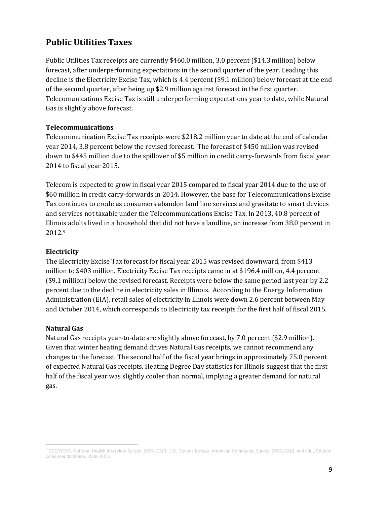#### **Public Utilities Taxes**

Public Utilities Tax receipts are currently \$460.0 million, 3.0 percent (\$14.3 million) below forecast, after underperforming expectations in the second quarter of the year. Leading this decline is the Electricity Excise Tax, which is 4.4 percent (\$9.1 million) below forecast at the end of the second quarter, after being up \$2.9 million against forecast in the first quarter. Telecomunications Excise Tax is still underperforming expectations year to date, while Natural Gas is slightly above forecast.

#### **Telecommunications**

Telecommunication Excise Tax receipts were \$218.2 million year to date at the end of calendar year 2014, 3.8 percent below the revised forecast. The forecast of \$450 million was revised down to \$445 million due to the spillover of \$5 million in credit carry-forwards from fiscal year 2014 to fiscal year 2015.

Telecom is expected to grow in fiscal year 2015 compared to fiscal year 2014 due to the use of \$60 million in credit carry-forwards in 2014. However, the base for Telecommunications Excise Tax continues to erode as consumers abandon land line services and gravitate to smart devices and services not taxable under the Telecommunications Excise Tax. In 2013, 40.8 percent of Illinois adults lived in a household that did not have a landline, an increase from 38.0 percent in 2012.[9](#page-8-0)

#### **Electricity**

The Electricity Excise Tax forecast for fiscal year 2015 was revised downward, from \$413 million to \$403 million. Electricity Excise Tax receipts came in at \$196.4 million, 4.4 percent (\$9.1 million) below the revised forecast. Receipts were below the same period last year by 2.2 percent due to the decline in electricity sales in Illinois. According to the Energy Information Administration (EIA), retail sales of electricity in Illinois were down 2.6 percent between May and October 2014, which corresponds to Electricity tax receipts for the first half of fiscal 2015.

#### **Natural Gas**

Natural Gas receipts year-to-date are slightly above forecast, by 7.0 percent (\$2.9 million). Given that winter heating demand drives Natural Gas receipts, we cannot recommend any changes to the forecast. The second half of the fiscal year brings in approximately 75.0 percent of expected Natural Gas receipts. Heating Degree Day statistics for Illinois suggest that the first half of the fiscal year was slightly cooler than normal, implying a greater demand for natural gas.

<span id="page-8-0"></span> <sup>9</sup> CDC/NCHS, National Health Interview Survey, 2009–2013; U.S. Census Bureau, American Community Survey, 2008–2012; and infoUSA.com consumer database, 2008–2012.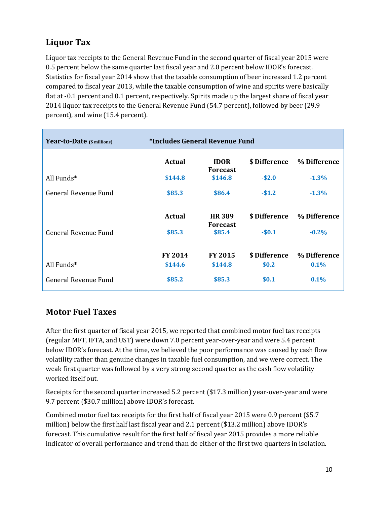## **Liquor Tax**

Liquor tax receipts to the General Revenue Fund in the second quarter of fiscal year 2015 were 0.5 percent below the same quarter last fiscal year and 2.0 percent below IDOR's forecast. Statistics for fiscal year 2014 show that the taxable consumption of beer increased 1.2 percent compared to fiscal year 2013, while the taxable consumption of wine and spirits were basically flat at -0.1 percent and 0.1 percent, respectively. Spirits made up the largest share of fiscal year 2014 liquor tax receipts to the General Revenue Fund (54.7 percent), followed by beer (29.9 percent), and wine (15.4 percent).

| Year-to-Date (\$ millions) | *Includes General Revenue Fund |                                 |               |              |
|----------------------------|--------------------------------|---------------------------------|---------------|--------------|
|                            | <b>Actual</b>                  | <b>IDOR</b><br><b>Forecast</b>  | \$ Difference | % Difference |
| All Funds*                 | \$144.8                        | \$146.8                         | $-$2.0$       | $-1.3%$      |
| General Revenue Fund       | \$85.3                         | \$86.4                          | $-$1.2$       | $-1.3%$      |
|                            | <b>Actual</b>                  | <b>HR389</b><br><b>Forecast</b> | \$ Difference | % Difference |
| General Revenue Fund       | \$85.3                         | \$85.4                          | $-$0.1$       | $-0.2%$      |
|                            | <b>FY 2014</b>                 | <b>FY 2015</b>                  | \$ Difference | % Difference |
| All Funds*                 | \$144.6                        | \$144.8                         | \$0.2\$       | 0.1%         |
| General Revenue Fund       | \$85.2                         | \$85.3                          | \$0.1         | 0.1%         |

## **Motor Fuel Taxes**

After the first quarter of fiscal year 2015, we reported that combined motor fuel tax receipts (regular MFT, IFTA, and UST) were down 7.0 percent year-over-year and were 5.4 percent below IDOR's forecast. At the time, we believed the poor performance was caused by cash flow volatility rather than genuine changes in taxable fuel consumption, and we were correct. The weak first quarter was followed by a very strong second quarter as the cash flow volatility worked itself out.

Receipts for the second quarter increased 5.2 percent (\$17.3 million) year-over-year and were 9.7 percent (\$30.7 million) above IDOR's forecast.

Combined motor fuel tax receipts for the first half of fiscal year 2015 were 0.9 percent (\$5.7 million) below the first half last fiscal year and 2.1 percent (\$13.2 million) above IDOR's forecast. This cumulative result for the first half of fiscal year 2015 provides a more reliable indicator of overall performance and trend than do either of the first two quarters in isolation.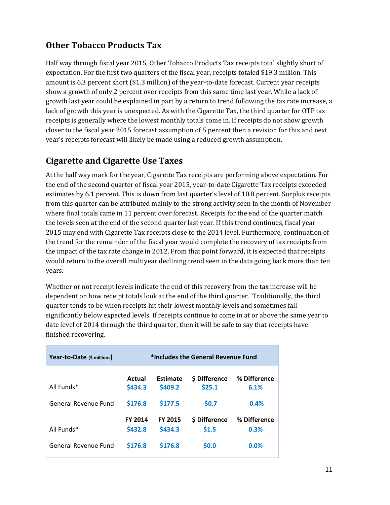## **Other Tobacco Products Tax**

Half way through fiscal year 2015, Other Tobacco Products Tax receipts total slightly short of expectation. For the first two quarters of the fiscal year, receipts totaled \$19.3 million. This amount is 6.3 percent short (\$1.3 million) of the year-to-date forecast. Current year receipts show a growth of only 2 percent over receipts from this same time last year. While a lack of growth last year could be explained in part by a return to trend following the tax rate increase, a lack of growth this year is unexpected. As with the Cigarette Tax, the third quarter for OTP tax receipts is generally where the lowest monthly totals come in. If receipts do not show growth closer to the fiscal year 2015 forecast assumption of 5 percent then a revision for this and next year's receipts forecast will likely be made using a reduced growth assumption.

## **Cigarette and Cigarette Use Taxes**

At the half way mark for the year, Cigarette Tax receipts are performing above expectation. For the end of the second quarter of fiscal year 2015, year-to-date Cigarette Tax receipts exceeded estimates by 6.1 percent. This is down from last quarter's level of 10.8 percent. Surplus receipts from this quarter can be attributed mainly to the strong activity seen in the month of November where final totals came in 11 percent over forecast. Receipts for the end of the quarter match the levels seen at the end of the second quarter last year. If this trend continues, fiscal year 2015 may end with Cigarette Tax receipts close to the 2014 level. Furthermore, continuation of the trend for the remainder of the fiscal year would complete the recovery of tax receipts from the impact of the tax rate change in 2012. From that point forward, it is expected that receipts would return to the overall multiyear declining trend seen in the data going back more than ten years.

Whether or not receipt levels indicate the end of this recovery from the tax increase will be dependent on how receipt totals look at the end of the third quarter. Traditionally, the third quarter tends to be when receipts hit their lowest monthly levels and sometimes fall significantly below expected levels. If receipts continue to come in at or above the same year to date level of 2014 through the third quarter, then it will be safe to say that receipts have finished recovering.

| Year-to-Date (\$ millions)         |                              |                                | *Includes the General Revenue Fund       |                                 |
|------------------------------------|------------------------------|--------------------------------|------------------------------------------|---------------------------------|
| All Funds*<br>General Revenue Fund | Actual<br>\$434.3<br>\$176.8 | Estimate<br>\$409.2<br>\$177.5 | <b>S</b> Difference<br>\$25.1<br>$-50.7$ | % Difference<br>6.1%<br>$-0.4%$ |
| All Funds*                         | <b>FY 2014</b><br>\$432.8    | <b>FY 2015</b><br>\$434.3      | \$ Difference<br>\$1.5                   | % Difference<br>0.3%            |
| General Revenue Fund               | \$176.8                      | <b>S176.8</b>                  | \$0.0                                    | 0.0%                            |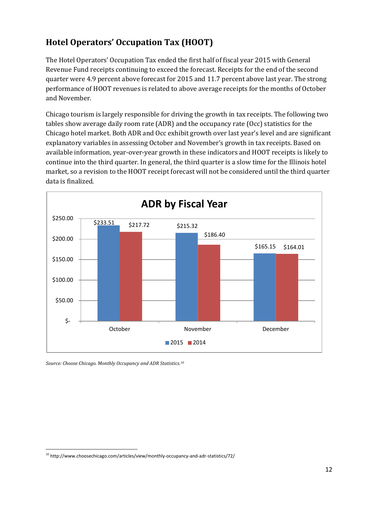## **Hotel Operators' Occupation Tax (HOOT)**

The Hotel Operators' Occupation Tax ended the first half of fiscal year 2015 with General Revenue Fund receipts continuing to exceed the forecast. Receipts for the end of the second quarter were 4.9 percent above forecast for 2015 and 11.7 percent above last year. The strong performance of HOOT revenues is related to above average receipts for the months of October and November.

Chicago tourism is largely responsible for driving the growth in tax receipts. The following two tables show average daily room rate (ADR) and the occupancy rate (Occ) statistics for the Chicago hotel market. Both ADR and Occ exhibit growth over last year's level and are significant explanatory variables in assessing October and November's growth in tax receipts. Based on available information, year-over-year growth in these indicators and HOOT receipts is likely to continue into the third quarter. In general, the third quarter is a slow time for the Illinois hotel market, so a revision to the HOOT receipt forecast will not be considered until the third quarter data is finalized.



*Source: Choose Chicago. Monthly Occupancy and ADR Statistics.[10](#page-11-0)*

<span id="page-11-0"></span><sup>&</sup>lt;sup>10</sup> http://www.choosechicago.com/articles/view/monthly-occupancy-and-adr-statistics/72/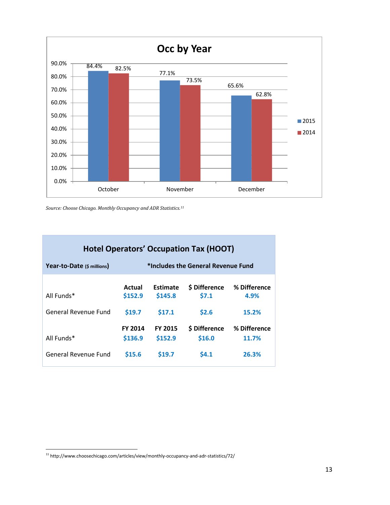



|                            |                           |                            | <b>Hotel Operators' Occupation Tax (HOOT)</b> |                       |
|----------------------------|---------------------------|----------------------------|-----------------------------------------------|-----------------------|
| Year-to-Date (\$ millions) |                           |                            | *Includes the General Revenue Fund            |                       |
| All Funds*                 | Actual<br>\$152.9         | <b>Estimate</b><br>\$145.8 | \$ Difference<br>\$7.1                        | % Difference<br>4.9%  |
| General Revenue Fund       | \$19.7                    | \$17.1                     | \$2.6                                         | 15.2%                 |
| All Funds*                 | <b>FY 2014</b><br>\$136.9 | <b>FY 2015</b><br>\$152.9  | \$ Difference<br>\$16.0                       | % Difference<br>11.7% |
| General Revenue Fund       | <b>S15.6</b>              | \$19.7                     | \$4.1                                         | 26.3%                 |

<span id="page-12-0"></span> $^{11}$ http://www.choosechicago.com/articles/view/monthly-occupancy-and-adr-statistics/72/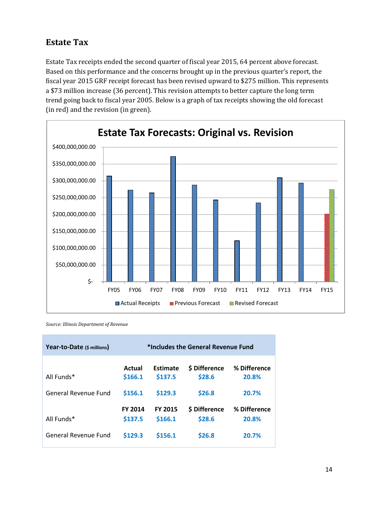### **Estate Tax**

Estate Tax receipts ended the second quarter of fiscal year 2015, 64 percent above forecast. Based on this performance and the concerns brought up in the previous quarter's report, the fiscal year 2015 GRF receipt forecast has been revised upward to \$275 million. This represents a \$73 million increase (36 percent). This revision attempts to better capture the long term trend going back to fiscal year 2005. Below is a graph of tax receipts showing the old forecast (in red) and the revision (in green).



*Source: Illinois Department of Revenue*

| Year-to-Date (\$ millions)  |                           |                           | *Includes the General Revenue Fund |                       |
|-----------------------------|---------------------------|---------------------------|------------------------------------|-----------------------|
| All Funds*                  | Actual<br>\$166.1         | Estimate<br>\$137.5       | <b>S</b> Difference<br>\$28.6      | % Difference<br>20.8% |
| <b>General Revenue Fund</b> | \$156.1                   | \$129.3                   | \$26.8                             | 20.7%                 |
| All Funds*                  | <b>FY 2014</b><br>\$137.5 | <b>FY 2015</b><br>\$166.1 | <b>S</b> Difference<br>\$28.6      | % Difference<br>20.8% |
| General Revenue Fund        | \$129.3                   | \$156.1                   | \$26.8                             | 20.7%                 |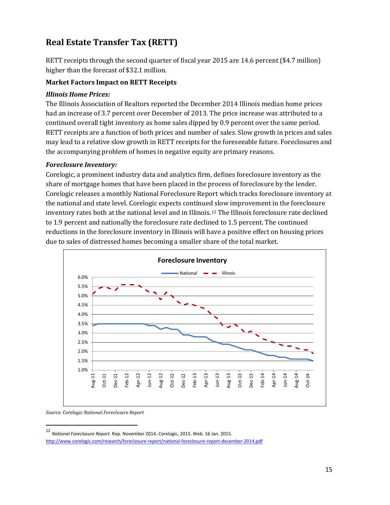## **Real Estate Transfer Tax (RETT)**

RETT receipts through the second quarter of fiscal year 2015 are 14.6 percent (\$4.7 million) higher than the forecast of \$32.1 million.

#### **Market Factors Impact on RETT Receipts**

#### *Illinois Home Prices:*

The Illinois Association of Realtors reported the December 2014 Illinois median home prices had an increase of 3.7 percent over December of 2013. The price increase was attributed to a continued overall tight inventory as home sales dipped by 0.9 percent over the same period. RETT receipts are a function of both prices and number of sales. Slow growth in prices and sales may lead to a relative slow growth in RETT receipts for the foreseeable future. Foreclosures and the accompanying problem of homes in negative equity are primary reasons.

#### *Foreclosure Inventory:*

Corelogic, a prominent industry data and analytics firm, defines foreclosure inventory as the share of mortgage homes that have been placed in the process of foreclosure by the lender. Corelogic releases a monthly National Foreclosure Report which tracks foreclosure inventory at the national and state level. Corelogic expects continued slow improvement in the foreclosure inventory rates both at the national level and in Illinois.[12](#page-14-0) The Illinois foreclosure rate declined to 1.9 percent and nationally the foreclosure rate declined to 1.5 percent. The continued reductions in the foreclosure inventory in Illinois will have a positive effect on housing prices due to sales of distressed homes becoming a smaller share of the total market.



*Source: Corelogic National Foreclosure Report*

<span id="page-14-0"></span> <sup>12</sup> *National Foreclosure Report*. Rep. November 2014. Corelogic, 2015. Web. 16 Jan. 2015.

<http://www.corelogic.com/research/foreclosure-report/national-foreclosure-report-december-2014.pdf>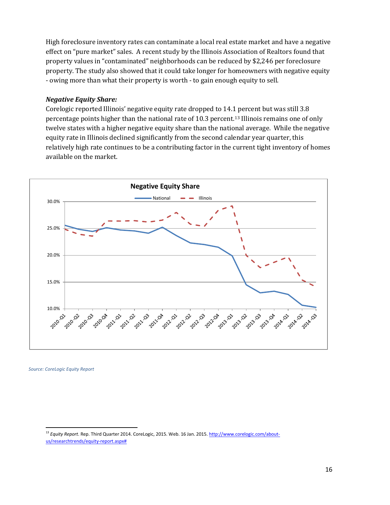High foreclosure inventory rates can contaminate a local real estate market and have a negative effect on "pure market" sales. A recent study by the Illinois Association of Realtors found that property values in "contaminated" neighborhoods can be reduced by \$2,246 per foreclosure property. The study also showed that it could take longer for homeowners with negative equity - owing more than what their property is worth - to gain enough equity to sell.

#### *Negative Equity Share:*

Corelogic reported Illinois' negative equity rate dropped to 14.[1 p](#page-15-0)ercent but was still 3.8 percentage points higher than the national rate of 10.3 percent.<sup>13</sup> Illinois remains one of only twelve states with a higher negative equity share than the national average. While the negative equity rate in Illinois declined significantly from the second calendar year quarter, this relatively high rate continues to be a contributing factor in the current tight inventory of homes available on the market.



*Source: CoreLogic Equity Report*

<span id="page-15-0"></span><sup>&</sup>lt;sup>13</sup> Equity Report. Rep. Third Quarter 2014. CoreLogic, 2015. Web. 16 Jan. 2015[. http://www.corelogic.com/about](http://www.corelogic.com/about-us/researchtrends/equity-report.aspx)[us/researchtrends/equity-report.aspx#](http://www.corelogic.com/about-us/researchtrends/equity-report.aspx)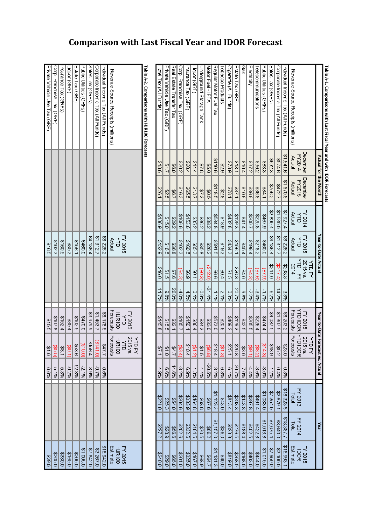| Inple A-2. Comparisons with HERIOO Forecasts |                          |                             |                                                                                                                                                                                                                         |        |                                                            |
|----------------------------------------------|--------------------------|-----------------------------|-------------------------------------------------------------------------------------------------------------------------------------------------------------------------------------------------------------------------|--------|------------------------------------------------------------|
|                                              |                          |                             | <b>YTD FY</b>                                                                                                                                                                                                           |        |                                                            |
|                                              | FY 2016<br>YTD<br>Actual | PT 2015<br>THR100<br>HJR100 | 2015<br>ATD<br>HJR100<br>HJR100                                                                                                                                                                                         |        | FY 2015<br>HJR100<br>Estimate                              |
| Revenue Source Receipts (millions)           |                          |                             | Forecasts Forecasts                                                                                                                                                                                                     |        |                                                            |
| ndividual Income Tax (All Funds)             | 28,226.2                 | \$8,178.5                   | 2.275                                                                                                                                                                                                                   | %90    | \$16,942                                                   |
| Corporate Income Tax (All Funds)             | \$1,312.7                | \$1,453.7                   |                                                                                                                                                                                                                         | 967.8- | \$3,267                                                    |
| Sales Tax (GRFs)                             | \$4,136.4                | 83,979.9                    |                                                                                                                                                                                                                         | 3.9%   |                                                            |
| Public Ctilities (GRFs)                      | 0.091\$                  | 0'0215                      |                                                                                                                                                                                                                         | 2.1%   |                                                            |
| Estate Tax (GRF)                             | \$156.1                  | \$102.5                     | $\begin{array}{r} (51410) \\ 5166.4 \\ \hline 156.4 \\ \hline 353.6 \\ \hline 450.0 \\ \hline 5610.7 \\ \hline 51.5 \\ \hline 56.5.5 \\ \hline 51.0 \\ \hline 51.0 \\ \hline 51.0 \\ \hline 51.0 \\ \hline \end{array}$ | 52.3%  | \$7,842.<br>\$1,005.1<br>\$1,005.1<br>\$205.00<br>\$205.00 |
| Liquor (GRF)                                 | \$85.3                   | \$85.4                      |                                                                                                                                                                                                                         | -0.2%  |                                                            |
| Insurance Tax (GRFs)                         | \$160.5                  | \$152.4                     |                                                                                                                                                                                                                         | 5.3%   |                                                            |
| Corp. Franchise Tax (GRF)                    | \$102.3                  | \$107.8                     |                                                                                                                                                                                                                         | 8.1%   |                                                            |
| Private Vericle Cse Tax (ORF)                | \$16.5                   | \$15.5                      |                                                                                                                                                                                                                         | %99    | 162\$                                                      |

| lable A-1. Comparisons with Last Fiscal Year and with IDOR Forecasts |                    |                      |                          |                      |                              |          |                                   |                                                    |                 |            |                |                     |
|----------------------------------------------------------------------|--------------------|----------------------|--------------------------|----------------------|------------------------------|----------|-----------------------------------|----------------------------------------------------|-----------------|------------|----------------|---------------------|
|                                                                      |                    | Actual tor the Month |                          | Year to Date Actual  |                              |          | Year to Date Fore                 |                                                    | cast vs. Actual |            | Year           |                     |
|                                                                      |                    |                      |                          |                      |                              |          |                                   | NTD<br>국                                           |                 |            |                |                     |
|                                                                      | December<br>FY2014 | December             | FY 2014<br>YTD<br>Actual | FY 2015              | YTD FY<br>2015 VS.<br>YTD FY |          | <b>YTD IDOR</b><br><b>FY 2015</b> | <b>YTD DOR</b><br>2015<br>$\overline{\mathcal{S}}$ |                 | FY 2013    | <b>FY 2014</b> | FY 2015<br>DOR<br>D |
| Revente Source Receipts (Jillions)                                   | Actual             | FY2015<br>Actual     |                          | <b>YTD</b><br>Actual | 2014                         |          | Forecasts                         | Forecasts                                          |                 | Total      | Total          | Estimate            |
| ndividual Income Tax (All Funds)                                     | \$1,541.6          | \$1,670.8            | 47,927.4                 | \$8,226.2            | 8298.8                       | 3.8%     | \$8,203.2                         | 0'23'                                              | 0.3%            | \$18,323.8 | \$18,387.7     | \$16,993.           |
| Corporate Income Tax (All Funds)                                     | 974.6              | 7.272                | \$1,530.0                | \$1,312.7            | (2217.4)                     | $-14.2%$ | \$1,307.5                         | 252                                                | 0.4%            | \$3,679.1  | \$3,640.0      | \$3,100.            |
| Sales Tax (GRFs)                                                     | £769\$             | 2992\$               | \$3,895.4                | \$4,136.4            | 0.1423                       | 6.2%     | 54,087.5                          | \$48.9                                             | 1.2%            | \$7,354.5  | \$7,675.4      | \$7,950.            |
| Public Utilities (GRFs)                                              | 8338               | 1884.1               | 6'19t\$                  | 0.091\$              | (6'2)                        | $-1.796$ | 17444                             | $\widehat{\Theta}$<br>$\frac{4.3}{4}$              | -3.0%           | \$1,033.0  | \$1,013.3      | \$1,015.            |
| elecommunications                                                    | 2382               | 836.8                | 8225.8                   | 28123                | (9'2)                        | $-3.4%$  | \$226.4                           | (28.2)                                             | -3.6%           | \$491.4    | \$422.3        | 1777\$              |
| Electricity                                                          | 227.2              | 9393                 | 7.002\$                  | \$196.4              | (34.3)                       | -2.2%    | \$205.5                           | (39.1)                                             | $-4.4%$         | \$397.8    | \$402.5        | 18003.              |
| Gas                                                                  | \$10.4             | 901\$                | 241.4                    | 245.4                | 64.0                         | 9.8%     | \$42.5                            | \$3.0                                              | 7.0%            | \$143.8    | \$188.4        | \$168.6             |
| Estate Tax (GRF)                                                     | \$18.1             | 1.75\$               | \$129.3                  | \$156.1              | \$26.8                       | 20.7%    | \$129.3                           | \$26.8                                             | 20.7%           | \$293.3    | 5922\$         | \$258.5             |
| Cigarette (All Funds)                                                | 873.9              | 1878.1               | \$432.8                  | \$434.3              | 91.5                         | 0.3%     | 2109.2                            | \$25.1                                             | 8.1%            | \$813.4    | \$223.8        | 1618\$              |
| obacco Products                                                      | 82\$               | \$2.8                | \$18.9                   | \$19.3               | \$0.4                        | 2.1%     | 902\$                             | $\frac{(51.3)}{518.4}$                             | 6.3%            | \$43.0     | 098\$          | 240.0               |
| Regular Motor Fuel Tax                                               | 9110.6             | 2118.5               | \$584.8                  | 5.165\$              | 99\$                         | 1.1%     | 0.22.3                            |                                                    | 3.2%            | \$1,123.3  | \$1,157.0      | \$1,131             |
| Motor Fuel - IFTA                                                    | 0.98               | 203                  | 238.2                    | 292\$                | (212.0)                      | $-31.4%$ | \$33.0                            | $rac{66.8}{51.5}$                                  | -20.5%          | 979\$      | 2882           | \$64.               |
| Jnderground Storage Tank                                             | 3/3                | 27.3                 | 236.2                    | \$35.8               | (30.3)                       | 966'0-   | \$34.3                            |                                                    | 4.4%            | 989\$      | 9.025          | \$68.9              |
| Liquor (GRF)                                                         | 2144               | 137                  | 285.2                    | \$85.3               | $\frac{1}{2}$                | 9610     | \$86.4                            | (21.2)                                             | -1.3%           | \$164.8    | \$164.5        | 3167.0              |
| nsurance Tax (GRF)                                                   | 109\$              | <b>SSS5</b>          | \$153.6                  | \$160.5              | 63\$                         | 4.5%     | \$150.1                           | 쉑<br>10.4                                          | %6'9            | \$333.9    | \$332.6        | 1225.1              |
| Corp. Franchise Tax (GRF                                             | 202\$              | <b>\$163</b>         | \$106.6                  | \$102.3              | (54.3)                       | -4.0%    | \$105.7                           | (53.4)                                             | -3.2%           | \$204.6    | 8202.6         | 1102\$              |
| Real Estate Transfer Tax                                             | 0.9\$              | 26.7                 | 259.2                    | 836.8                | 9/8                          | 26.0%    | 132.1                             | 24.7                                               | 14.6%           | 0123       | 999\$          | 199\$               |
| Private Vehicle Lax (GRF)                                            | 21.7               | 325                  | 0.918                    | 316.5                | $\frac{6}{5}$                | 9.8%     | 315.5                             | $\frac{4}{5}$                                      | %9'9            | \$25.3     | <b>682\$</b>   | 162\$               |
| Hotel Tax (All Funds)                                                | 9818               | 1.92\$               | \$136.9                  | 8152.9               | 0.91\$                       | 11.7%    | \$145.8                           |                                                    | 4.9%            | 01224      | 2227.2         | 1072\$              |
|                                                                      |                    |                      |                          |                      |                              |          |                                   |                                                    |                 |            |                |                     |

# **Comparison with Last Fiscal Year and IDOR Forecast**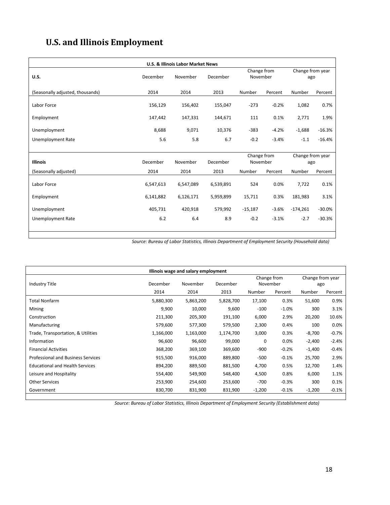# **U.S. and Illinois Employment**

|                                  |           | <b>U.S. &amp; Illinois Labor Market News</b> |           |                         |         |                         |          |
|----------------------------------|-----------|----------------------------------------------|-----------|-------------------------|---------|-------------------------|----------|
| <b>U.S.</b>                      | December  | November                                     | December  | Change from<br>November |         | Change from year<br>ago |          |
| (Seasonally adjusted, thousands) | 2014      | 2014                                         | 2013      | Number                  | Percent | Number                  | Percent  |
| Labor Force                      | 156,129   | 156,402                                      | 155,047   | $-273$                  | $-0.2%$ | 1,082                   | 0.7%     |
| Employment                       | 147,442   | 147,331                                      | 144,671   | 111                     | 0.1%    | 2,771                   | 1.9%     |
| Unemployment                     | 8,688     | 9,071                                        | 10,376    | $-383$                  | $-4.2%$ | $-1,688$                | $-16.3%$ |
| <b>Unemployment Rate</b>         | 5.6       | 5.8                                          | 6.7       | $-0.2$                  | $-3.4%$ | $-1.1$                  | $-16.4%$ |
|                                  |           |                                              |           |                         |         |                         |          |
| <b>Illinois</b>                  | December  | November                                     | December  | Change from<br>November |         | Change from year<br>ago |          |
| (Seasonally adjusted)            | 2014      | 2014                                         | 2013      | Number                  | Percent | Number                  | Percent  |
| Labor Force                      | 6,547,613 | 6,547,089                                    | 6,539,891 | 524                     | 0.0%    | 7,722                   | 0.1%     |
| Employment                       | 6,141,882 | 6,126,171                                    | 5,959,899 | 15,711                  | 0.3%    | 181,983                 | 3.1%     |
| Unemployment                     | 405,731   | 420,918                                      | 579,992   | $-15,187$               | $-3.6%$ | $-174,261$              | $-30.0%$ |
| <b>Unemployment Rate</b>         | 6.2       | 6.4                                          | 8.9       | $-0.2$                  | $-3.1%$ | $-2.7$                  | $-30.3%$ |
|                                  |           |                                              |           |                         |         |                         |          |

*Source: Bureau of Labor Statistics, Illinois Department of Employment Security (Household data)*

|                                           |           | Illinois wage and salary employment |           |             |         |                  |         |
|-------------------------------------------|-----------|-------------------------------------|-----------|-------------|---------|------------------|---------|
|                                           |           |                                     |           | Change from |         | Change from year |         |
| Industry Title                            | December  | November                            | December  | November    |         | ago              |         |
|                                           | 2014      | 2014                                | 2013      | Number      | Percent | Number           | Percent |
| <b>Total Nonfarm</b>                      | 5,880,300 | 5,863,200                           | 5,828,700 | 17,100      | 0.3%    | 51,600           | 0.9%    |
| Mining                                    | 9,900     | 10,000                              | 9,600     | $-100$      | $-1.0%$ | 300              | 3.1%    |
| Construction                              | 211,300   | 205,300                             | 191,100   | 6,000       | 2.9%    | 20,200           | 10.6%   |
| Manufacturing                             | 579,600   | 577,300                             | 579,500   | 2,300       | 0.4%    | 100              | 0.0%    |
| Trade, Transportation, & Utilities        | 1,166,000 | 1,163,000                           | 1,174,700 | 3,000       | 0.3%    | $-8,700$         | $-0.7%$ |
| Information                               | 96,600    | 96,600                              | 99,000    | 0           | 0.0%    | $-2,400$         | $-2.4%$ |
| <b>Financial Activities</b>               | 368,200   | 369,100                             | 369,600   | $-900$      | $-0.2%$ | $-1,400$         | $-0.4%$ |
| <b>Professional and Business Services</b> | 915,500   | 916,000                             | 889,800   | $-500$      | $-0.1%$ | 25,700           | 2.9%    |
| <b>Educational and Health Services</b>    | 894,200   | 889,500                             | 881,500   | 4,700       | 0.5%    | 12,700           | 1.4%    |
| Leisure and Hospitality                   | 554,400   | 549,900                             | 548,400   | 4,500       | 0.8%    | 6,000            | 1.1%    |
| <b>Other Services</b>                     | 253,900   | 254,600                             | 253,600   | $-700$      | $-0.3%$ | 300              | 0.1%    |
| Government                                | 830,700   | 831,900                             | 831,900   | $-1,200$    | $-0.1%$ | $-1,200$         | $-0.1%$ |

*Source: Bureau of Labor Statistics, Illinois Department of Employment Security (Establishment data)*